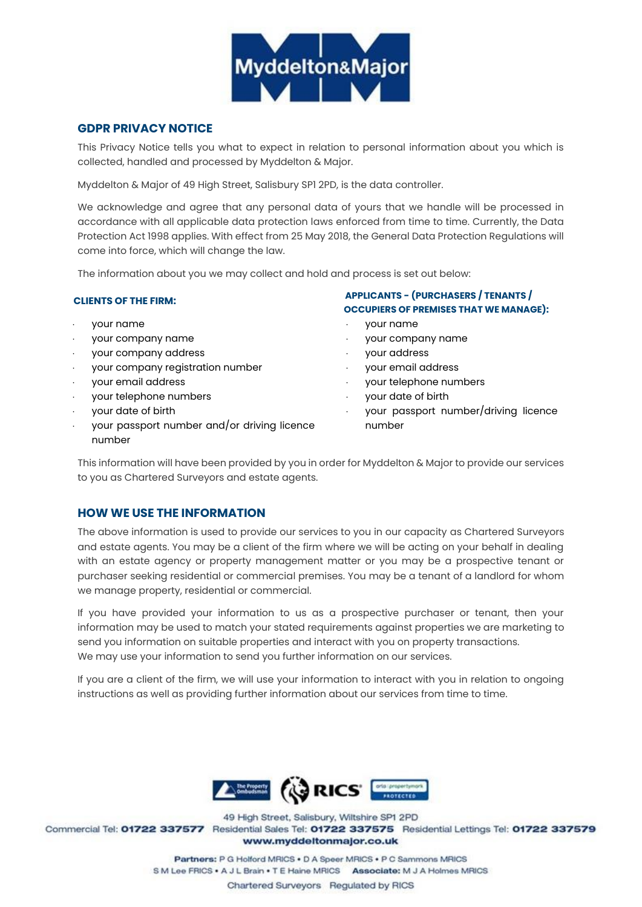

### **GDPR PRIVACY NOTICE**

This Privacy Notice tells you what to expect in relation to personal information about you which is collected, handled and processed by Myddelton & Major.

Myddelton & Major of 49 High Street, Salisbury SP1 2PD, is the data controller.

We acknowledge and agree that any personal data of yours that we handle will be processed in accordance with all applicable data protection laws enforced from time to time. Currently, the Data Protection Act 1998 applies. With effect from 25 May 2018, the General Data Protection Regulations will come into force, which will change the law.

The information about you we may collect and hold and process is set out below:

#### **CLIENTS OF THE FIRM:**

- your name
- your company name
- your company address
- your company registration number
- your email address
- your telephone numbers
- your date of birth
- your passport number and/or driving licence number

### **APPLICANTS - (PURCHASERS / TENANTS / OCCUPIERS OF PREMISES THAT WE MANAGE):**

- your name
- your company name
- your address
- your email address
- your telephone numbers
- your date of birth
- your passport number/driving licence number

This information will have been provided by you in order for Myddelton & Major to provide our services to you as Chartered Surveyors and estate agents.

# **HOW WE USE THE INFORMATION**

The above information is used to provide our services to you in our capacity as Chartered Surveyors and estate agents. You may be a client of the firm where we will be acting on your behalf in dealing with an estate agency or property management matter or you may be a prospective tenant or purchaser seeking residential or commercial premises. You may be a tenant of a landlord for whom we manage property, residential or commercial.

If you have provided your information to us as a prospective purchaser or tenant, then your information may be used to match your stated requirements against properties we are marketing to send you information on suitable properties and interact with you on property transactions. We may use your information to send you further information on our services.

If you are a client of the firm, we will use your information to interact with you in relation to ongoing instructions as well as providing further information about our services from time to time.



49 High Street, Salisbury, Wiltshire SP1 2PD Commercial Tel: 01722 337577 Residential Sales Tel: 01722 337575 Residential Lettings Tel: 01722 337579 www.myddeltonmajor.co.uk

> Partners: P G Holford MRICS . D A Speer MRICS . P C Sammons MRICS S M Lee FRICS . A J L Brain . T E Haine MRICS Associate: M J A Holmes MRICS Chartered Surveyors Regulated by RICS